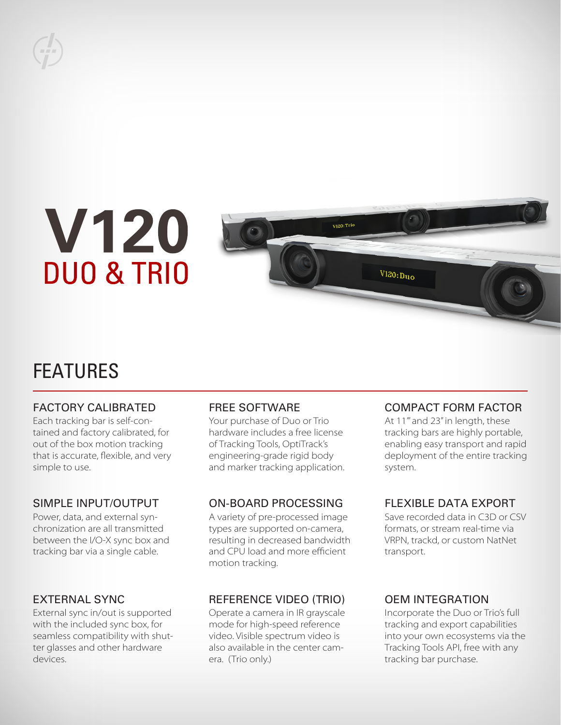

# **V120 DUO & TRIO**



## FEATURES

#### FACTORY CALIBRATED

Each tracking bar is self-contained and factory calibrated, for out of the box motion tracking that is accurate, flexible, and very simple to use.

#### SIMPLE INPUT/OUTPUT

Power, data, and external synchronization are all transmitted between the I/O-X sync box and tracking bar via a single cable.

#### EXTERNAL SYNC

External sync in/out is supported with the included sync box, for seamless compatibility with shutter glasses and other hardware devices.

#### FREE SOFTWARE

Your purchase of Duo or Trio hardware includes a free license of Tracking Tools, OptiTrack's engineering-grade rigid body and marker tracking application.

#### ON-BOARD PROCESSING

A variety of pre-processed image types are supported on-camera, resulting in decreased bandwidth and CPU load and more efficient motion tracking.

#### REFERENCE VIDEO (TRIO)

Operate a camera in IR grayscale mode for high-speed reference video. Visible spectrum video is also available in the center camera. (Trio only.)

#### COMPACT FORM FACTOR

At 11'" and 23" in length, these tracking bars are highly portable, enabling easy transport and rapid deployment of the entire tracking system.

#### FLEXIBLE DATA EXPORT

Save recorded data in C3D or CSV formats, or stream real-time via VRPN, trackd, or custom NatNet transport.

#### OEM INTEGRATION

Incorporate the Duo or Trio's full tracking and export capabilities into your own ecosystems via the Tracking Tools API, free with any tracking bar purchase.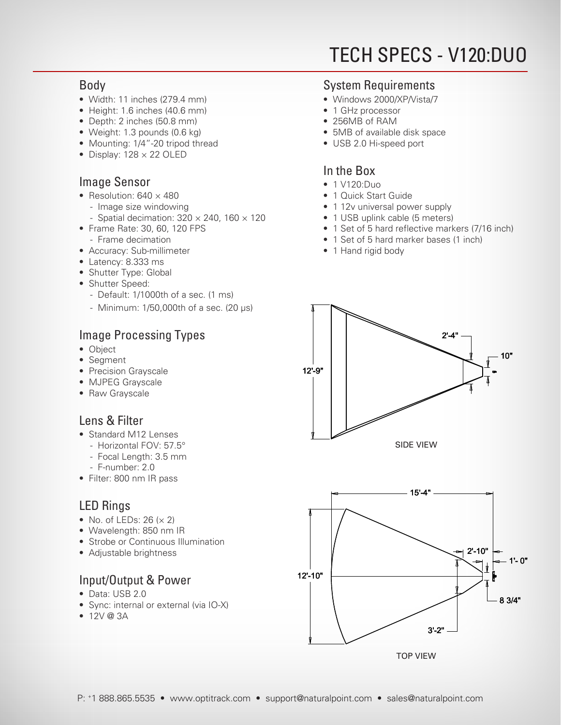## TECH SPECS - V120:DUO

#### Body

- Width: 11 inches (279.4 mm)
	- Height: 1.6 inches (40.6 mm)
	- Depth: 2 inches (50.8 mm)
	- Weight: 1.3 pounds (0.6 kg)
	- Mounting: 1/4"-20 tripod thread
	- $\bullet$  Display: 128  $\times$  22 OLED

#### Image Sensor

- Resolution:  $640 \times 480$ 
	- Image size windowing
	- Spatial decimation:  $320 \times 240$ , 160  $\times$  120
- Frame Rate: 30, 60, 120 FPS
- Frame decimation
- Accuracy: Sub-millimeter
- Latency: 8.333 ms
- Shutter Type: Global
- Shutter Speed:
	- Default: 1/1000th of a sec. (1 ms)
	- Minimum: 1/50,000th of a sec. (20 µs)

### Image Processing Types

- Object
- Segment
	- Precision Grayscale
	- MJPEG Grayscale
- Raw Grayscale

#### Lens & Filter

- Standard M12 Lenses
	- Horizontal FOV: 57.5°
	- Focal Length: 3.5 mm
	- F-number: 2.0
- Filter: 800 nm IR pass

#### LED Rings

- No. of LEDs:  $26 (x 2)$
- Wavelength: 850 nm IR
- Strobe or Continuous Illumination
- Adjustable brightness

#### Input/Output & Power

- Data: USB 2.0
- Sync: internal or external (via IO-X)
- 12V @ 3A

#### System Requirements

- Windows 2000/XP/Vista/7
- 1 GHz processor
- 256MB of RAM
- 5MB of available disk space
- USB 2.0 Hi-speed port

#### In the Box

- 1 V120:Duo
- 1 Quick Start Guide
- 1 12v universal power supply
- 1 USB uplink cable (5 meters)
- 1 Set of 5 hard reflective markers (7/16 inch)
- 1 Set of 5 hard marker bases (1 inch)
- 1 Hand rigid body